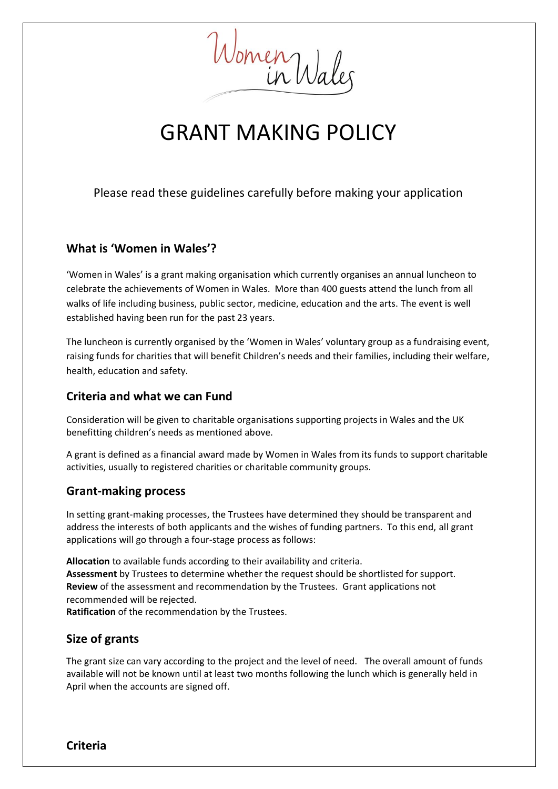

# GRANT MAKING POLICY

Please read these guidelines carefully before making your application

## **What is 'Women in Wales'?**

'Women in Wales' is a grant making organisation which currently organises an annual luncheon to celebrate the achievements of Women in Wales. More than 400 guests attend the lunch from all walks of life including business, public sector, medicine, education and the arts. The event is well established having been run for the past 23 years.

The luncheon is currently organised by the 'Women in Wales' voluntary group as a fundraising event, raising funds for charities that will benefit Children's needs and their families, including their welfare, health, education and safety.

## **Criteria and what we can Fund**

Consideration will be given to charitable organisations supporting projects in Wales and the UK benefitting children's needs as mentioned above.

A grant is defined as a financial award made by Women in Wales from its funds to support charitable activities, usually to registered charities or charitable community groups.

### **Grant-making process**

In setting grant-making processes, the Trustees have determined they should be transparent and address the interests of both applicants and the wishes of funding partners. To this end, all grant applications will go through a four-stage process as follows:

**Allocation** to available funds according to their availability and criteria. **Assessment** by Trustees to determine whether the request should be shortlisted for support. **Review** of the assessment and recommendation by the Trustees. Grant applications not recommended will be rejected.

**Ratification** of the recommendation by the Trustees.

### **Size of grants**

The grant size can vary according to the project and the level of need. The overall amount of funds available will not be known until at least two months following the lunch which is generally held in April when the accounts are signed off.

**Criteria**